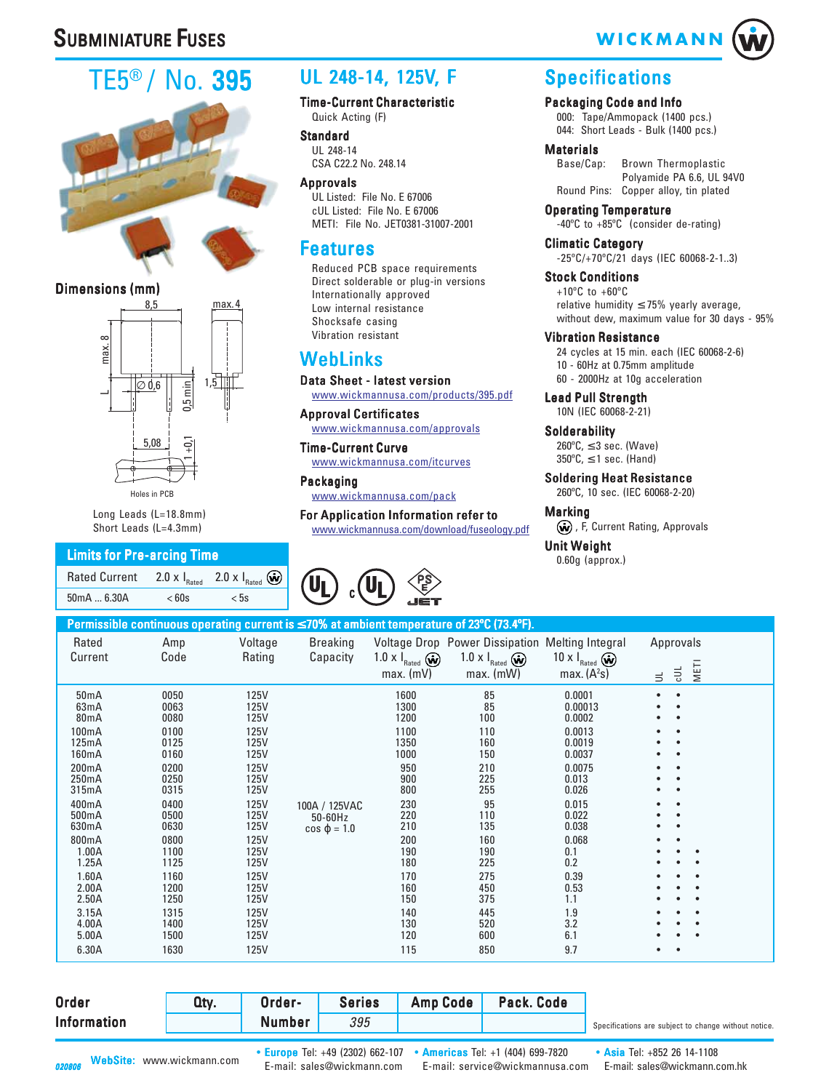# **SUBMINIATURE FUSES**

# TE5® / No. 395



#### Dimensions (mm)



Long Leads (L=18.8mm) Short Leads (L=4.3mm)

#### Limits for Pre-arcing Time

| Rated Current 2.0 x $I_{\text{Rated}}$ 2.0 x $I_{\text{Rated}}$ $\omega$ |       |      |
|--------------------------------------------------------------------------|-------|------|
| 50mA  6.30A                                                              | < 60s | < 5s |

## UL 248-14, 125V, F

#### Time-Current Characteristic Quick Acting (F)

**Standard** UL 248-14 CSA C22.2 No. 248.14

Approvals UL Listed: File No. E 67006 cUL Listed: File No. E 67006 METI: File No. JET0381-31007-2001

## Features

Reduced PCB space requirements Direct solderable or plug-in versions Internationally approved Low internal resistance Shocksafe casing Vibration resistant

## [WebLinks](http://www.wickmannusa.com/products/395.pdf)

[Data Sheet - latest version](http://www.wickmannusa.com/products/395.pdf) [www.wickmannusa.com/products/395.pdf](http://www.wickmannusa.com/approvals)

[Approval Certificates](http://www.wickmannusa.com/approvals)

[www.wickmannusa.com/approvals](http://www.wickmannusa.com/itcurves)

[Time-Current Curve](http://www.wickmannusa.com/itcurves) [www.wickmannusa.com/itcurves](http://www.wickmannusa.com/pack)

[Packaging](http://www.wickmannusa.com/pack) [www.wickmannusa.com/pack](www.wickmannusa.com/download/fuseology.pdf)

[For Application Information refer to](www.wickmannusa.com/download/fuseology.pdf) www.wickmannusa.com/download/fuseology.pdf



# **WICKMANN**

## **Specifications**

Packaging Code and Info 000: Tape/Ammopack (1400 pcs.) 044: Short Leads - Bulk (1400 pcs.)

# **Materials**<br>Base/Cap:

Brown Thermoplastic Polyamide PA 6.6, UL 94V0 Round Pins: Copper alloy, tin plated

Operating Temperature

-40ºC to +85ºC (consider de-rating) Climatic Category

-25ºC/+70ºC/21 days (IEC 60068-2-1..3)

Stock Conditions  $+10^{\circ}$ C to  $+60^{\circ}$ C relative humidity  $\leq$  75% yearly average, without dew, maximum value for 30 days - 95%

#### Vibration Resistance

24 cycles at 15 min. each (IEC 60068-2-6) 10 - 60Hz at 0.75mm amplitude 60 - 2000Hz at 10g acceleration

Lead Pull Strength 10N (IEC 60068-2-21)

**Solderability**  $260^{\circ}$ C,  $\leq$  3 sec. (Wave)  $350^{\circ}$ C,  $\leq$  1 sec. (Hand)

Soldering Heat Resistance 260ºC, 10 sec. (IEC 60068-2-20)

Marking

(w), F, Current Rating, Approvals

**Unit Weight** 

0.60g (approx.)

|                                                                                                                                                                                                                           |                                                                                                                                                                              |                                                                                                                                                                                     |                                                 |                                                                                                                                                              | Permissible continuous operating current is ≤ 70% at ambient temperature of 23°C (73.4°F).                                                          |                                                                                                                                                                                            |                                                                                         |
|---------------------------------------------------------------------------------------------------------------------------------------------------------------------------------------------------------------------------|------------------------------------------------------------------------------------------------------------------------------------------------------------------------------|-------------------------------------------------------------------------------------------------------------------------------------------------------------------------------------|-------------------------------------------------|--------------------------------------------------------------------------------------------------------------------------------------------------------------|-----------------------------------------------------------------------------------------------------------------------------------------------------|--------------------------------------------------------------------------------------------------------------------------------------------------------------------------------------------|-----------------------------------------------------------------------------------------|
| Rated<br>Current                                                                                                                                                                                                          | Amp<br>Code                                                                                                                                                                  | Voltage<br>Rating                                                                                                                                                                   | <b>Breaking</b><br>Capacity                     | 1.0 $\times$ $\mathsf{I}_{\text{Rated}}$ $\bigcirc$<br>$max.$ (mV)                                                                                           | Voltage Drop Power Dissipation Melting Integral<br>1.0 $\times$ $\mathsf{I}_{\text{Rated}}$ $\omega$<br>$max.$ (mW)                                 | 10 $\times$ $\mathsf{I}_{\text{Rated}}$ $\omega$<br>max. $(A2s)$                                                                                                                           | Approvals<br><b>METI</b><br>$\exists$<br>$\equiv$                                       |
| 50 <sub>m</sub> A<br>63mA<br>80 <sub>m</sub> A<br>100mA<br>125mA<br>160mA<br>200mA<br>250mA<br>315mA<br>400mA<br>500mA<br>630mA<br>800mA<br>1.00A<br>1.25A<br>1.60A<br>2.00A<br>2.50A<br>3.15A<br>4.00A<br>5.00A<br>6.30A | 0050<br>0063<br>0080<br>0100<br>0125<br>0160<br>0200<br>0250<br>0315<br>0400<br>0500<br>0630<br>0800<br>1100<br>1125<br>1160<br>1200<br>1250<br>1315<br>1400<br>1500<br>1630 | 125V<br>125V<br>125V<br>125V<br>125V<br>125V<br><b>125V</b><br>125V<br>125V<br>125V<br>125V<br>125V<br>125V<br>125V<br>125V<br>125V<br>125V<br>125V<br>125V<br>125V<br>125V<br>125V | 100A / 125VAC<br>50-60Hz<br>$cos \varphi = 1.0$ | 1600<br>1300<br>1200<br>1100<br>1350<br>1000<br>950<br>900<br>800<br>230<br>220<br>210<br>200<br>190<br>180<br>170<br>160<br>150<br>140<br>130<br>120<br>115 | 85<br>85<br>100<br>110<br>160<br>150<br>210<br>225<br>255<br>95<br>110<br>135<br>160<br>190<br>225<br>275<br>450<br>375<br>445<br>520<br>600<br>850 | 0.0001<br>0.00013<br>0.0002<br>0.0013<br>0.0019<br>0.0037<br>0.0075<br>0.013<br>0.026<br>0.015<br>0.022<br>0.038<br>0.068<br>0.1<br>0.2<br>0.39<br>0.53<br>1.1<br>1.9<br>3.2<br>6.1<br>9.7 | $\bullet$<br>$\bullet$<br>$\bullet$<br>$\bullet$<br>$\bullet$<br>$\bullet$<br>$\bullet$ |

| Information | Number | 395 |  | Specifications are subject to change without notice. |
|-------------|--------|-----|--|------------------------------------------------------|